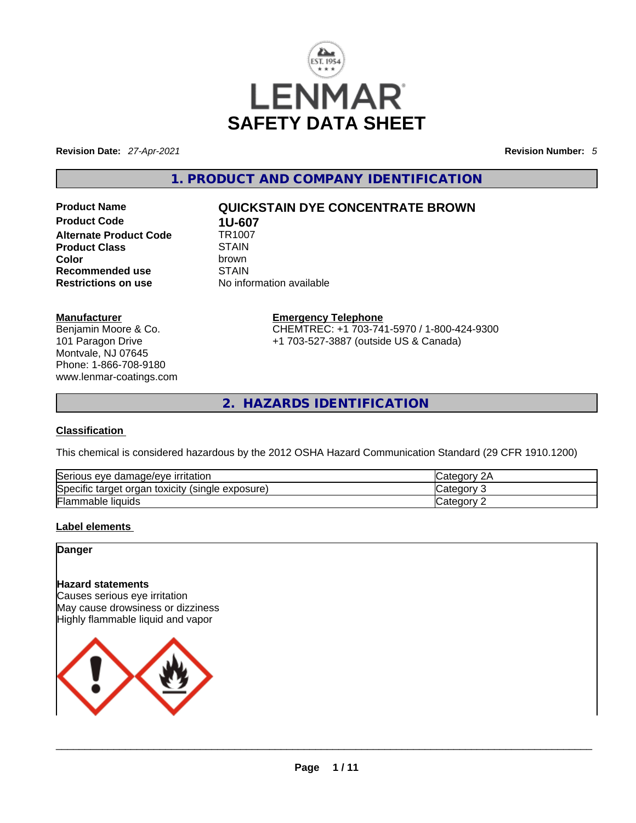

**Revision Date:** *27-Apr-2021* **Revision Number:** *5*

**1. PRODUCT AND COMPANY IDENTIFICATION** 

**Product Code 1U-607**<br>**Alternate Product Code 1R1007 Alternate Product Code 6 TR100**<br>Product Class STAIN **Product Class**<br>Color **Recommended use** STAIN

# **Product Name QUICKSTAIN DYE CONCENTRATE BROWN**

**Color** brown **Restrictions on use** No information available

**Manufacturer**

Benjamin Moore & Co. 101 Paragon Drive Montvale, NJ 07645 Phone: 1-866-708-9180 www.lenmar-coatings.com **Emergency Telephone** CHEMTREC: +1 703-741-5970 / 1-800-424-9300 +1 703-527-3887 (outside US & Canada)

**2. HAZARDS IDENTIFICATION** 

#### **Classification**

This chemical is considered hazardous by the 2012 OSHA Hazard Communication Standard (29 CFR 1910.1200)

| Serious eye damage/eye irritation                   | 2Α<br><b>ICategory</b> |
|-----------------------------------------------------|------------------------|
| Specific target organ toxicity<br>(single exposure) | <b>Category</b>        |
| <b>Flammable liquids</b>                            | Category               |

## **Label elements**

#### **Danger**

#### **Hazard statements**

Causes serious eye irritation May cause drowsiness or dizziness Highly flammable liquid and vapor

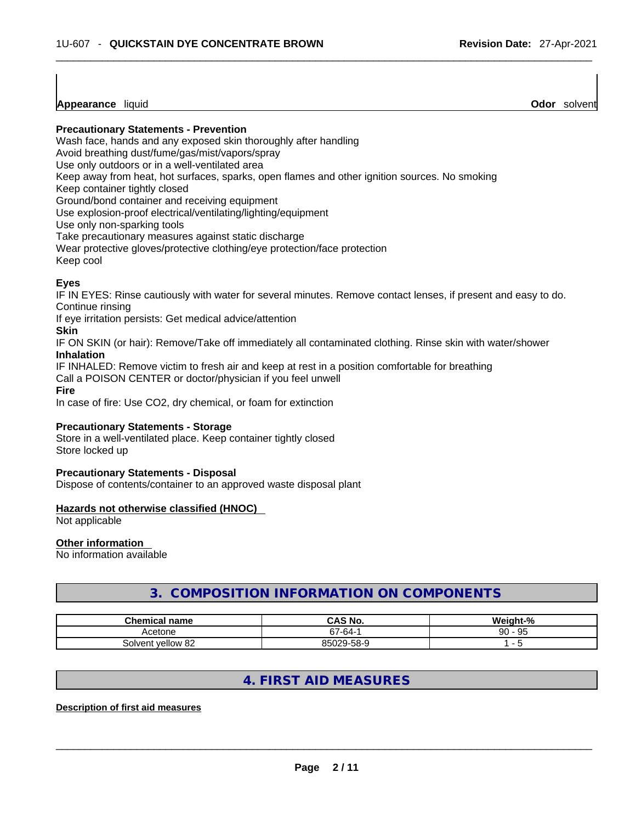**Appearance** liquid

**Precautionary Statements - Prevention**

Wash face, hands and any exposed skin thoroughly after handling

Avoid breathing dust/fume/gas/mist/vapors/spray

Use only outdoors or in a well-ventilated area

Keep away from heat, hot surfaces, sparks, open flames and other ignition sources. No smoking

Keep container tightly closed

Ground/bond container and receiving equipment

Use explosion-proof electrical/ventilating/lighting/equipment

Use only non-sparking tools

Take precautionary measures against static discharge

Wear protective gloves/protective clothing/eye protection/face protection

Keep cool

## **Eyes**

IF IN EYES: Rinse cautiously with water for several minutes. Remove contact lenses, if present and easy to do. Continue rinsing

If eye irritation persists: Get medical advice/attention

#### **Skin**

IF ON SKIN (or hair): Remove/Take off immediately all contaminated clothing. Rinse skin with water/shower **Inhalation**

IF INHALED: Remove victim to fresh air and keep at rest in a position comfortable for breathing

Call a POISON CENTER or doctor/physician if you feel unwell

**Fire**

In case of fire: Use CO2, dry chemical, or foam for extinction

## **Precautionary Statements - Storage**

Store in a well-ventilated place. Keep container tightly closed Store locked up

#### **Precautionary Statements - Disposal**

Dispose of contents/container to an approved waste disposal plant

#### **Hazards not otherwise classified (HNOC)**

Not applicable

## **Other information**

No information available

# **3. COMPOSITION INFORMATION ON COMPONENTS**

| <b>Chemical name</b> | CAS No.         | eiaht-%  |
|----------------------|-----------------|----------|
| Acetone              | -64-1 ه         | 95<br>90 |
| vellow 82<br>Solvent | 95029-<br>-58-9 |          |

# **4. FIRST AID MEASURES**

#### **Description of first aid measures**

 $\_$  ,  $\_$  ,  $\_$  ,  $\_$  ,  $\_$  ,  $\_$  ,  $\_$  ,  $\_$  ,  $\_$  ,  $\_$  ,  $\_$  ,  $\_$  ,  $\_$  ,  $\_$  ,  $\_$  ,  $\_$  ,  $\_$  ,  $\_$  ,  $\_$  ,  $\_$  ,  $\_$  ,  $\_$  ,  $\_$  ,  $\_$  ,  $\_$  ,  $\_$  ,  $\_$  ,  $\_$  ,  $\_$  ,  $\_$  ,  $\_$  ,  $\_$  ,  $\_$  ,  $\_$  ,  $\_$  ,  $\_$  ,  $\_$  ,

**Odor** solvent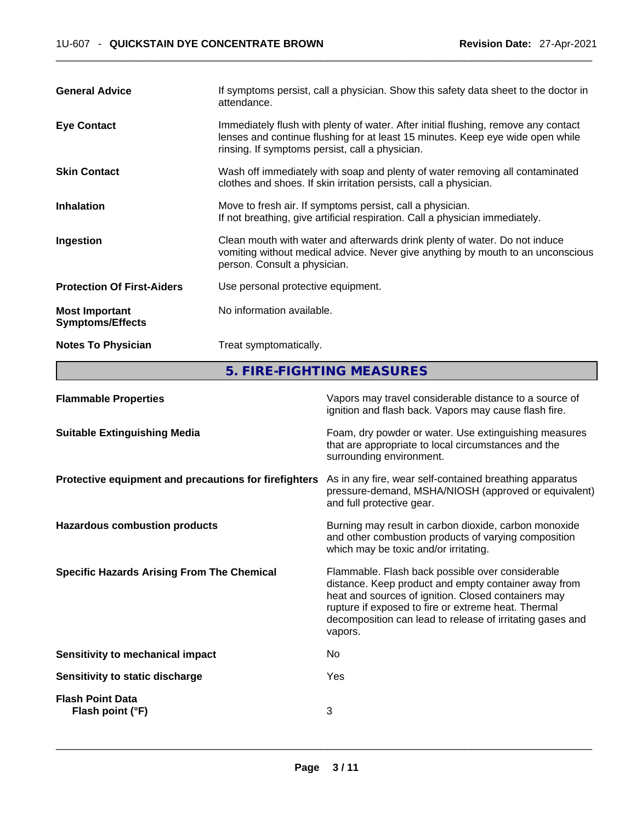| <b>General Advice</b>                            | If symptoms persist, call a physician. Show this safety data sheet to the doctor in<br>attendance.                                                                                                                      |
|--------------------------------------------------|-------------------------------------------------------------------------------------------------------------------------------------------------------------------------------------------------------------------------|
| <b>Eye Contact</b>                               | Immediately flush with plenty of water. After initial flushing, remove any contact<br>lenses and continue flushing for at least 15 minutes. Keep eye wide open while<br>rinsing. If symptoms persist, call a physician. |
| <b>Skin Contact</b>                              | Wash off immediately with soap and plenty of water removing all contaminated<br>clothes and shoes. If skin irritation persists, call a physician.                                                                       |
| <b>Inhalation</b>                                | Move to fresh air. If symptoms persist, call a physician.<br>If not breathing, give artificial respiration. Call a physician immediately.                                                                               |
| Ingestion                                        | Clean mouth with water and afterwards drink plenty of water. Do not induce<br>vomiting without medical advice. Never give anything by mouth to an unconscious<br>person. Consult a physician.                           |
| <b>Protection Of First-Aiders</b>                | Use personal protective equipment.                                                                                                                                                                                      |
| <b>Most Important</b><br><b>Symptoms/Effects</b> | No information available.                                                                                                                                                                                               |
| <b>Notes To Physician</b>                        | Treat symptomatically.                                                                                                                                                                                                  |

**5. FIRE-FIGHTING MEASURES** 

| <b>Flammable Properties</b>                           | Vapors may travel considerable distance to a source of<br>ignition and flash back. Vapors may cause flash fire.                                                                                                                                                                                |
|-------------------------------------------------------|------------------------------------------------------------------------------------------------------------------------------------------------------------------------------------------------------------------------------------------------------------------------------------------------|
| <b>Suitable Extinguishing Media</b>                   | Foam, dry powder or water. Use extinguishing measures<br>that are appropriate to local circumstances and the<br>surrounding environment.                                                                                                                                                       |
| Protective equipment and precautions for firefighters | As in any fire, wear self-contained breathing apparatus<br>pressure-demand, MSHA/NIOSH (approved or equivalent)<br>and full protective gear.                                                                                                                                                   |
| <b>Hazardous combustion products</b>                  | Burning may result in carbon dioxide, carbon monoxide<br>and other combustion products of varying composition<br>which may be toxic and/or irritating.                                                                                                                                         |
| <b>Specific Hazards Arising From The Chemical</b>     | Flammable. Flash back possible over considerable<br>distance. Keep product and empty container away from<br>heat and sources of ignition. Closed containers may<br>rupture if exposed to fire or extreme heat. Thermal<br>decomposition can lead to release of irritating gases and<br>vapors. |
| Sensitivity to mechanical impact                      | No.                                                                                                                                                                                                                                                                                            |
| Sensitivity to static discharge                       | Yes                                                                                                                                                                                                                                                                                            |
| <b>Flash Point Data</b><br>Flash point (°F)           | 3                                                                                                                                                                                                                                                                                              |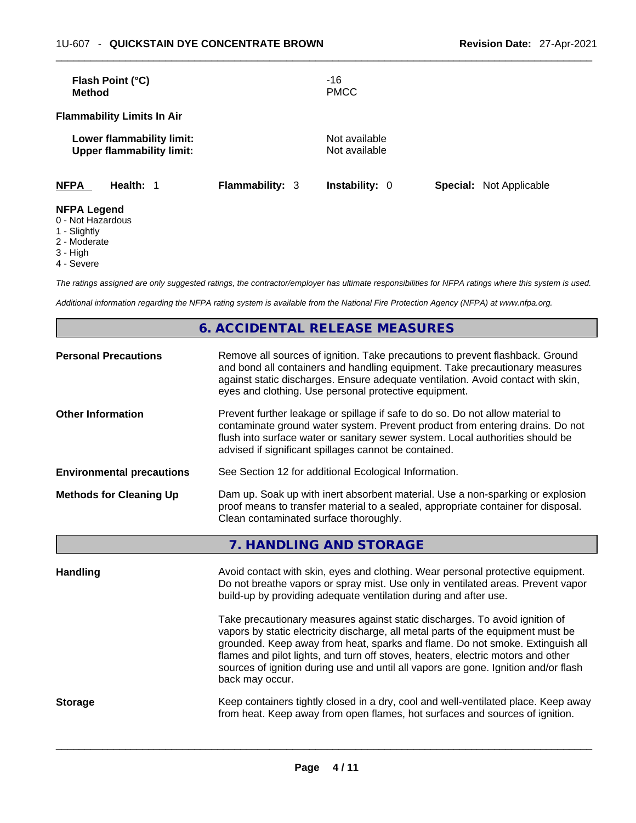| <b>Method</b> | Flash Point (°C)                                              |                        | -16<br><b>PMCC</b>             |                                |
|---------------|---------------------------------------------------------------|------------------------|--------------------------------|--------------------------------|
|               | <b>Flammability Limits In Air</b>                             |                        |                                |                                |
|               | Lower flammability limit:<br><b>Upper flammability limit:</b> |                        | Not available<br>Not available |                                |
| <b>NFPA</b>   | Health: 1                                                     | <b>Flammability: 3</b> | <b>Instability: 0</b>          | <b>Special: Not Applicable</b> |

## **NFPA Legend**

- 0 Not Hazardous
- 1 Slightly
- 2 Moderate
- 3 High
- 4 Severe

*The ratings assigned are only suggested ratings, the contractor/employer has ultimate responsibilities for NFPA ratings where this system is used.* 

*Additional information regarding the NFPA rating system is available from the National Fire Protection Agency (NFPA) at www.nfpa.org.* 

# **6. ACCIDENTAL RELEASE MEASURES**

| <b>Personal Precautions</b>      | Remove all sources of ignition. Take precautions to prevent flashback. Ground<br>and bond all containers and handling equipment. Take precautionary measures<br>against static discharges. Ensure adequate ventilation. Avoid contact with skin,<br>eyes and clothing. Use personal protective equipment.                                                                                                                                      |  |  |
|----------------------------------|------------------------------------------------------------------------------------------------------------------------------------------------------------------------------------------------------------------------------------------------------------------------------------------------------------------------------------------------------------------------------------------------------------------------------------------------|--|--|
| <b>Other Information</b>         | Prevent further leakage or spillage if safe to do so. Do not allow material to<br>contaminate ground water system. Prevent product from entering drains. Do not<br>flush into surface water or sanitary sewer system. Local authorities should be<br>advised if significant spillages cannot be contained.                                                                                                                                     |  |  |
| <b>Environmental precautions</b> | See Section 12 for additional Ecological Information.                                                                                                                                                                                                                                                                                                                                                                                          |  |  |
| <b>Methods for Cleaning Up</b>   | Dam up. Soak up with inert absorbent material. Use a non-sparking or explosion<br>proof means to transfer material to a sealed, appropriate container for disposal.<br>Clean contaminated surface thoroughly.                                                                                                                                                                                                                                  |  |  |
|                                  | 7. HANDLING AND STORAGE                                                                                                                                                                                                                                                                                                                                                                                                                        |  |  |
| <b>Handling</b>                  | Avoid contact with skin, eyes and clothing. Wear personal protective equipment.<br>Do not breathe vapors or spray mist. Use only in ventilated areas. Prevent vapor<br>build-up by providing adequate ventilation during and after use.                                                                                                                                                                                                        |  |  |
|                                  | Take precautionary measures against static discharges. To avoid ignition of<br>vapors by static electricity discharge, all metal parts of the equipment must be<br>grounded. Keep away from heat, sparks and flame. Do not smoke. Extinguish all<br>flames and pilot lights, and turn off stoves, heaters, electric motors and other<br>sources of ignition during use and until all vapors are gone. Ignition and/or flash<br>back may occur. |  |  |
| <b>Storage</b>                   | Keep containers tightly closed in a dry, cool and well-ventilated place. Keep away<br>from heat. Keep away from open flames, hot surfaces and sources of ignition.                                                                                                                                                                                                                                                                             |  |  |
|                                  |                                                                                                                                                                                                                                                                                                                                                                                                                                                |  |  |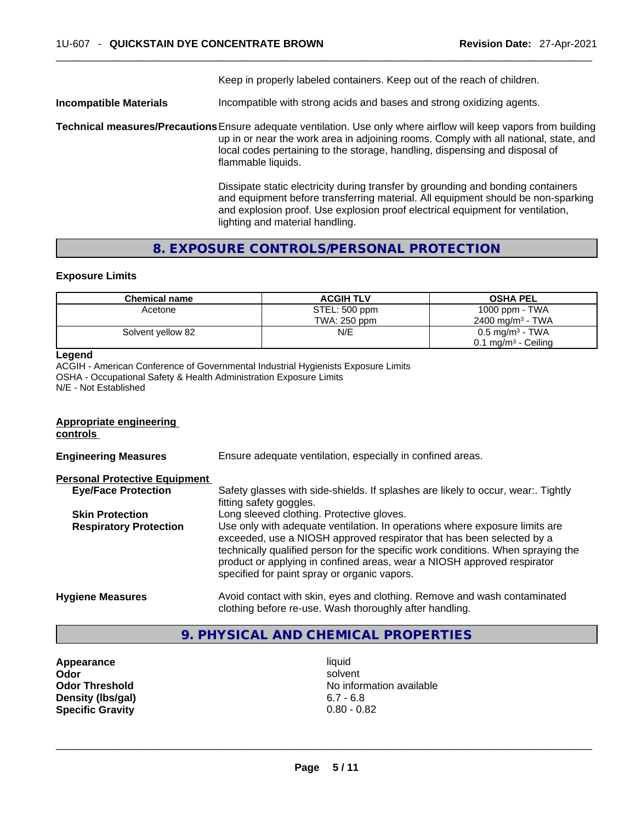Keep in properly labeled containers. Keep out of the reach of children.

**Incompatible Materials Incompatible** with strong acids and bases and strong oxidizing agents.

**Technical measures/Precautions**Ensure adequate ventilation. Use only where airflow will keep vapors from building up in or near the work area in adjoining rooms. Comply with all national, state, and local codes pertaining to the storage, handling, dispensing and disposal of flammable liquids.

> Dissipate static electricity during transfer by grounding and bonding containers and equipment before transferring material. All equipment should be non-sparking and explosion proof. Use explosion proof electrical equipment for ventilation, lighting and material handling.

# **8. EXPOSURE CONTROLS/PERSONAL PROTECTION**

#### **Exposure Limits**

| <b>Chemical name</b> | <b>ACGIH TLV</b> | <b>OSHA PEL</b>                 |
|----------------------|------------------|---------------------------------|
| Acetone              | STEL: 500 ppm    | 1000 ppm - TWA                  |
|                      | TWA: 250 ppm     | 2400 mg/m <sup>3</sup> - TWA    |
| Solvent yellow 82    | N/E              | $0.5 \text{ mg/m}^3$ - TWA      |
|                      |                  | 0.1 mg/m <sup>3</sup> - Ceiling |

## **Legend**

ACGIH - American Conference of Governmental Industrial Hygienists Exposure Limits OSHA - Occupational Safety & Health Administration Exposure Limits N/E - Not Established

# **Appropriate engineering controls Engineering Measures** Ensure adequate ventilation, especially in confined areas. **Personal Protective Equipment Eye/Face Protection** Safety glasses with side-shields. If splashes are likely to occur, wear:. Tightly fitting safety goggles. **Skin Protection** Long sleeved clothing. Protective gloves. **Respiratory Protection** Use only with adequate ventilation. In operations where exposure limits are exceeded, use a NIOSH approved respirator that has been selected by a technically qualified person for the specific work conditions. When spraying the product or applying in confined areas, wear a NIOSH approved respirator specified for paint spray or organic vapors. **Hygiene Measures** Avoid contact with skin, eyes and clothing. Remove and wash contaminated clothing before re-use. Wash thoroughly after handling.

# **9. PHYSICAL AND CHEMICAL PROPERTIES**

**Appearance** liquid **Density (lbs/gal)** 6.7 - 6.8

**Odor Solvent Solvent Solvent Solvent Odor Threshold** No information available **Specific Gravity** 0.80 - 0.82 \_\_\_\_\_\_\_\_\_\_\_\_\_\_\_\_\_\_\_\_\_\_\_\_\_\_\_\_\_\_\_\_\_\_\_\_\_\_\_\_\_\_\_\_\_\_\_\_\_\_\_\_\_\_\_\_\_\_\_\_\_\_\_\_\_\_\_\_\_\_\_\_\_\_\_\_\_\_\_\_\_\_\_\_\_\_\_\_\_\_\_\_\_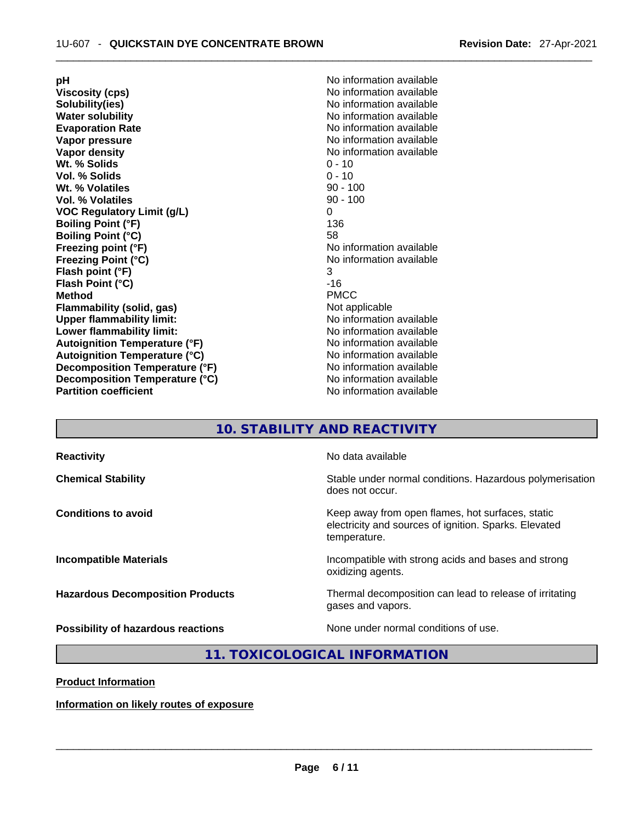**Viscosity (cps) Viscosity (cps) No information available Solubility(ies)**<br> **No information available**<br> **Water solubility**<br> **Water solubility Water solubility**<br> **No information available**<br> **No information available**<br>
No information available **Vapor pressure No information available No information available Vapor density No information available No** information available **Wt. % Solids** 0 - 10 **Vol. % Solids** 0 - 10 **Wt. % Volatiles** 90 - 100 **Vol. % Volatiles VOC** Regulatory Limit (g/L) 0 0 0 0 0 136 **Boiling Point (°F) Boiling Point (°C)** 58 **Freezing point (°F)** No information available **Freezing Point (°C)** No information available **Flash point (°F)** 3 **Flash Point (°C)** -16 **Method** PMCC **Flammability (solid, gas)** Not applicable **Upper flammability limit:**<br> **Lower flammability limit:** No information available **Lower flammability limit: Autoignition Temperature (°F)**<br> **Autoignition Temperature (°C)** 
<br> **Autoignition Temperature (°C)** 
<br> **Autoignition Temperature (°C) Autoignition Temperature (°C)**<br> **Decomposition Temperature (°F)** No information available **Decomposition Temperature (°F) Decomposition Temperature (°C)** No information available **Partition coefficient** 

**pH pH 1 Evaporation Rate** No information available

## **10. STABILITY AND REACTIVITY**

| <b>Reactivity</b>                       | No data available                                                                                                         |
|-----------------------------------------|---------------------------------------------------------------------------------------------------------------------------|
| <b>Chemical Stability</b>               | Stable under normal conditions. Hazardous polymerisation<br>does not occur.                                               |
| <b>Conditions to avoid</b>              | Keep away from open flames, hot surfaces, static<br>electricity and sources of ignition. Sparks. Elevated<br>temperature. |
| <b>Incompatible Materials</b>           | Incompatible with strong acids and bases and strong<br>oxidizing agents.                                                  |
| <b>Hazardous Decomposition Products</b> | Thermal decomposition can lead to release of irritating<br>gases and vapors.                                              |
| Possibility of hazardous reactions      | None under normal conditions of use.                                                                                      |

## **11. TOXICOLOGICAL INFORMATION**

**Product Information**

#### **Information on likely routes of exposure**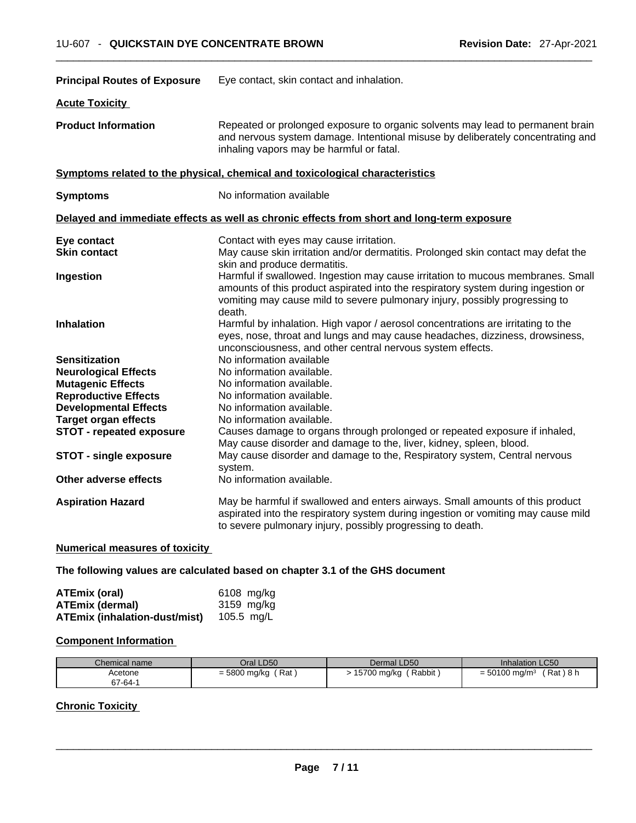| <b>Principal Routes of Exposure</b> | Eye contact, skin contact and inhalation.                                                                                                                                                                                                                     |
|-------------------------------------|---------------------------------------------------------------------------------------------------------------------------------------------------------------------------------------------------------------------------------------------------------------|
| <b>Acute Toxicity</b>               |                                                                                                                                                                                                                                                               |
| <b>Product Information</b>          | Repeated or prolonged exposure to organic solvents may lead to permanent brain<br>and nervous system damage. Intentional misuse by deliberately concentrating and<br>inhaling vapors may be harmful or fatal.                                                 |
|                                     | Symptoms related to the physical, chemical and toxicological characteristics                                                                                                                                                                                  |
| <b>Symptoms</b>                     | No information available                                                                                                                                                                                                                                      |
|                                     | Delayed and immediate effects as well as chronic effects from short and long-term exposure                                                                                                                                                                    |
| Eye contact                         | Contact with eyes may cause irritation.                                                                                                                                                                                                                       |
| <b>Skin contact</b>                 | May cause skin irritation and/or dermatitis. Prolonged skin contact may defat the<br>skin and produce dermatitis.                                                                                                                                             |
| Ingestion                           | Harmful if swallowed. Ingestion may cause irritation to mucous membranes. Small<br>amounts of this product aspirated into the respiratory system during ingestion or<br>vomiting may cause mild to severe pulmonary injury, possibly progressing to<br>death. |
| <b>Inhalation</b>                   | Harmful by inhalation. High vapor / aerosol concentrations are irritating to the<br>eyes, nose, throat and lungs and may cause headaches, dizziness, drowsiness,<br>unconsciousness, and other central nervous system effects.                                |
| <b>Sensitization</b>                | No information available                                                                                                                                                                                                                                      |
| <b>Neurological Effects</b>         | No information available.                                                                                                                                                                                                                                     |
| <b>Mutagenic Effects</b>            | No information available.                                                                                                                                                                                                                                     |
| <b>Reproductive Effects</b>         | No information available.                                                                                                                                                                                                                                     |
| <b>Developmental Effects</b>        | No information available.                                                                                                                                                                                                                                     |
| <b>Target organ effects</b>         | No information available.                                                                                                                                                                                                                                     |
| <b>STOT - repeated exposure</b>     | Causes damage to organs through prolonged or repeated exposure if inhaled,<br>May cause disorder and damage to the, liver, kidney, spleen, blood.                                                                                                             |
| <b>STOT - single exposure</b>       | May cause disorder and damage to the, Respiratory system, Central nervous<br>system.                                                                                                                                                                          |
| Other adverse effects               | No information available.                                                                                                                                                                                                                                     |
| <b>Aspiration Hazard</b>            | May be harmful if swallowed and enters airways. Small amounts of this product<br>aspirated into the respiratory system during ingestion or vomiting may cause mild<br>to severe pulmonary injury, possibly progressing to death.                              |
|                                     |                                                                                                                                                                                                                                                               |

# **Numerical measures of toxicity**

**The following values are calculated based on chapter 3.1 of the GHS document**

| ATEmix (oral)                        | 6108 mg/kg |
|--------------------------------------|------------|
| <b>ATEmix (dermal)</b>               | 3159 mg/kg |
| <b>ATEmix (inhalation-dust/mist)</b> | 105.5 mg/L |

# **Component Information**

| Chemical name | Oral LD50    | Dermal LD50 | Inhalation LC50       |
|---------------|--------------|-------------|-----------------------|
| Acetone       | (Rat)        | (Rabbit)    | 「Rat)8 h              |
| 67-64-1       | = 5800 mg/kg | 15700 mg/kg | $= 50100$ mg/m $^{3}$ |

# **Chronic Toxicity**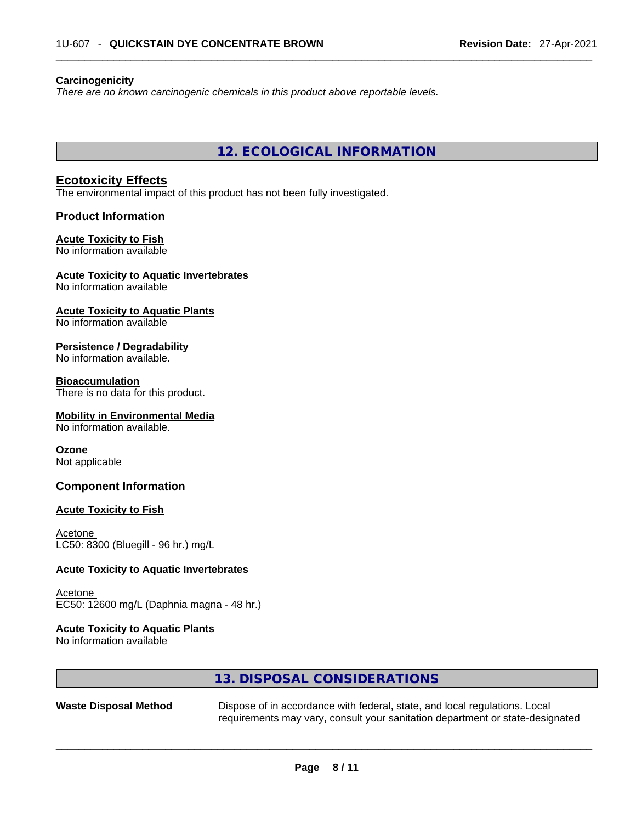#### **Carcinogenicity**

*There are no known carcinogenic chemicals in this product above reportable levels.* 

**12. ECOLOGICAL INFORMATION** 

## **Ecotoxicity Effects**

The environmental impact of this product has not been fully investigated.

#### **Product Information**

#### **Acute Toxicity to Fish**

No information available

## **Acute Toxicity to Aquatic Invertebrates**

No information available

# **Acute Toxicity to Aquatic Plants**

No information available

## **Persistence / Degradability**

No information available.

#### **Bioaccumulation**

There is no data for this product.

#### **Mobility in Environmental Media**

No information available.

## **Ozone**

Not applicable

## **Component Information**

#### **Acute Toxicity to Fish**

Acetone LC50: 8300 (Bluegill - 96 hr.) mg/L

#### **Acute Toxicity to Aquatic Invertebrates**

Acetone EC50: 12600 mg/L (Daphnia magna - 48 hr.)

# **Acute Toxicity to Aquatic Plants**

No information available

# **13. DISPOSAL CONSIDERATIONS**

| <b>Waste Disposal Method</b> | Dispose of in accordance with federal, state, and local regulations. Local    |
|------------------------------|-------------------------------------------------------------------------------|
|                              | requirements may vary, consult your sanitation department or state-designated |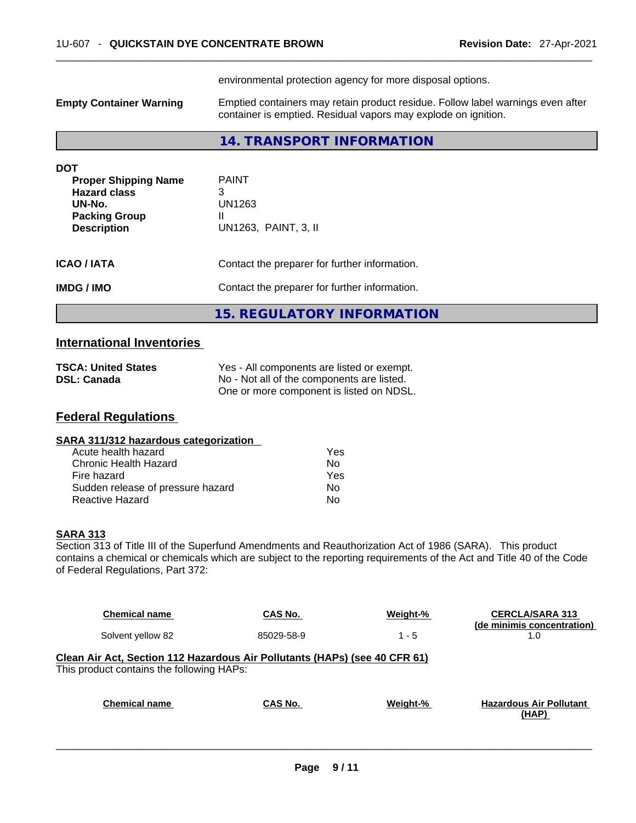|                                                                                                                   | environmental protection agency for more disposal options.                                                                                        |
|-------------------------------------------------------------------------------------------------------------------|---------------------------------------------------------------------------------------------------------------------------------------------------|
| <b>Empty Container Warning</b>                                                                                    | Emptied containers may retain product residue. Follow label warnings even after<br>container is emptied. Residual vapors may explode on ignition. |
|                                                                                                                   | 14. TRANSPORT INFORMATION                                                                                                                         |
| DOT<br><b>Proper Shipping Name</b><br><b>Hazard class</b><br>UN-No.<br><b>Packing Group</b><br><b>Description</b> | <b>PAINT</b><br>3<br>UN1263<br>Ш<br>UN1263, PAINT, 3, II                                                                                          |
| ICAO / IATA<br>IMDG / IMO                                                                                         | Contact the preparer for further information.<br>Contact the preparer for further information.                                                    |

**15. REGULATORY INFORMATION** 

# **International Inventories**

| <b>TSCA: United States</b> | Yes - All components are listed or exempt. |
|----------------------------|--------------------------------------------|
| <b>DSL: Canada</b>         | No - Not all of the components are listed. |
|                            | One or more component is listed on NDSL.   |

# **Federal Regulations**

| Yes |  |
|-----|--|
| Nο  |  |
| Yes |  |
| No  |  |
| No  |  |
|     |  |

# **SARA 313**

Section 313 of Title III of the Superfund Amendments and Reauthorization Act of 1986 (SARA). This product contains a chemical or chemicals which are subject to the reporting requirements of the Act and Title 40 of the Code of Federal Regulations, Part 372:

| <b>Chemical name</b>                                                                                                    | CAS No.    | Weight-% | <b>CERCLA/SARA 313</b><br>(de minimis concentration) |
|-------------------------------------------------------------------------------------------------------------------------|------------|----------|------------------------------------------------------|
| Solvent yellow 82                                                                                                       | 85029-58-9 | $1 - 5$  | 1.0                                                  |
| Clean Air Act, Section 112 Hazardous Air Pollutants (HAPs) (see 40 CFR 61)<br>This product contains the following HAPs: |            |          |                                                      |
|                                                                                                                         |            |          |                                                      |
| <b>Chemical name</b>                                                                                                    | CAS No.    | Weight-% | <b>Hazardous Air Pollutant</b><br>(HAP)              |
|                                                                                                                         |            |          |                                                      |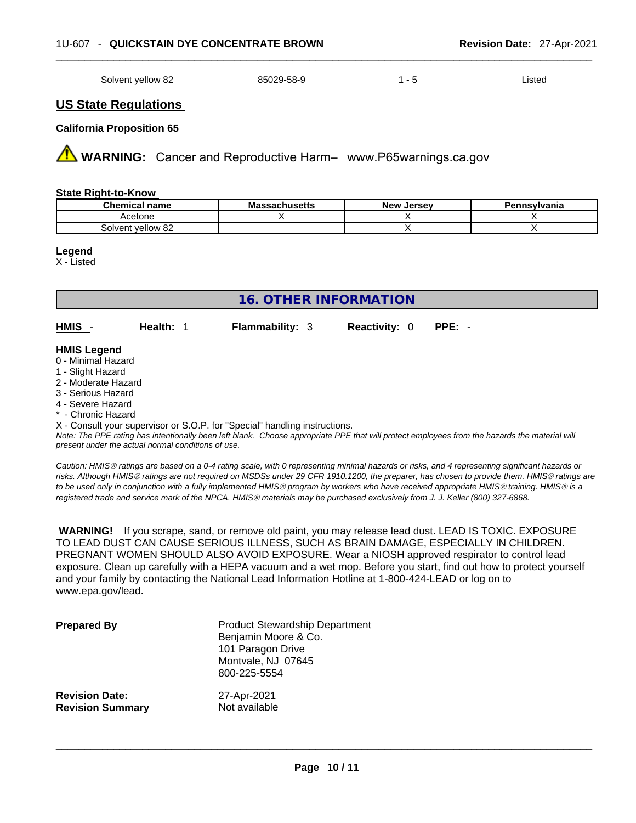#### \_\_\_\_\_\_\_\_\_\_\_\_\_\_\_\_\_\_\_\_\_\_\_\_\_\_\_\_\_\_\_\_\_\_\_\_\_\_\_\_\_\_\_\_\_\_\_\_\_\_\_\_\_\_\_\_\_\_\_\_\_\_\_\_\_\_\_\_\_\_\_\_\_\_\_\_\_\_\_\_\_\_\_\_\_\_\_\_\_\_\_\_\_ 1U-607 - **QUICKSTAIN DYE CONCENTRATE BROWN Revision Date:** 27-Apr-2021

| Solvent vellow 82<br>---- | 85029-58-9 | . . | .istec |
|---------------------------|------------|-----|--------|
|---------------------------|------------|-----|--------|

# **US State Regulations**

#### **California Proposition 65**

 **WARNING:** Cancer and Reproductive Harm– www.P65warnings.ca.gov

#### **State Right-to-Know**

| <b>Chemical name</b> | <b>Massachusetts</b> | , Jersev<br><b>New</b> | Pennsylvania |
|----------------------|----------------------|------------------------|--------------|
| .cetone              |                      |                        |              |
| Solvent yellow 82    |                      |                        |              |

#### **Legend**

X - Listed

|             |                  | 16. OTHER INFORMATION  |                             |  |
|-------------|------------------|------------------------|-----------------------------|--|
| <b>HMIS</b> | <b>Health: 1</b> | <b>Flammability: 3</b> | <b>Reactivity: 0 PPE: -</b> |  |

#### **HMIS Legend**

- 0 Minimal Hazard
- 1 Slight Hazard
- 2 Moderate Hazard
- 3 Serious Hazard
- 4 Severe Hazard
- \* Chronic Hazard

X - Consult your supervisor or S.O.P. for "Special" handling instructions.

Note: The PPE rating has intentionally been left blank. Choose appropriate PPE that will protect employees from the hazards the material will *present under the actual normal conditions of use.* 

*Caution: HMISÒ ratings are based on a 0-4 rating scale, with 0 representing minimal hazards or risks, and 4 representing significant hazards or risks. Although HMISÒ ratings are not required on MSDSs under 29 CFR 1910.1200, the preparer, has chosen to provide them. HMISÒ ratings are to be used only in conjunction with a fully implemented HMISÒ program by workers who have received appropriate HMISÒ training. HMISÒ is a registered trade and service mark of the NPCA. HMISÒ materials may be purchased exclusively from J. J. Keller (800) 327-6868.* 

 **WARNING!** If you scrape, sand, or remove old paint, you may release lead dust. LEAD IS TOXIC. EXPOSURE TO LEAD DUST CAN CAUSE SERIOUS ILLNESS, SUCH AS BRAIN DAMAGE, ESPECIALLY IN CHILDREN. PREGNANT WOMEN SHOULD ALSO AVOID EXPOSURE.Wear a NIOSH approved respirator to control lead exposure. Clean up carefully with a HEPA vacuum and a wet mop. Before you start, find out how to protect yourself and your family by contacting the National Lead Information Hotline at 1-800-424-LEAD or log on to www.epa.gov/lead.

| <b>Prepared By</b>      | <b>Product Stewardship Department</b><br>Benjamin Moore & Co.<br>101 Paragon Drive<br>Montvale, NJ 07645<br>800-225-5554 |
|-------------------------|--------------------------------------------------------------------------------------------------------------------------|
| <b>Revision Date:</b>   | 27-Apr-2021                                                                                                              |
| <b>Revision Summary</b> | Not available                                                                                                            |